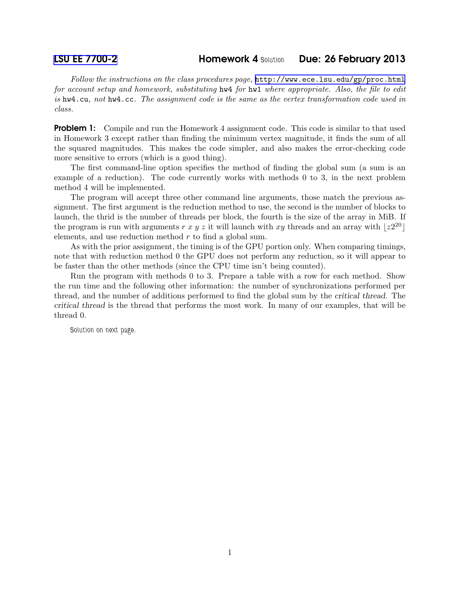Follow the instructions on the class procedures page, <http://www.ece.lsu.edu/gp/proc.html> for account setup and homework, substituting hw4 for hw1 where appropriate. Also, the file to edit is hw4.cu, not hw4.cc. The assignment code is the same as the vertex transformation code used in class.

**Problem 1:** Compile and run the Homework 4 assignment code. This code is similar to that used in Homework 3 except rather than finding the minimum vertex magnitude, it finds the sum of all the squared magnitudes. This makes the code simpler, and also makes the error-checking code more sensitive to errors (which is a good thing).

The first command-line option specifies the method of finding the global sum (a sum is an example of a reduction). The code currently works with methods 0 to 3, in the next problem method 4 will be implemented.

The program will accept three other command line arguments, those match the previous assignment. The first argument is the reduction method to use, the second is the number of blocks to launch, the thrid is the number of threads per block, the fourth is the size of the array in MiB. If the program is run with arguments r x y z it will launch with xy threads and an array with  $|z^{20}|$ elements, and use reduction method r to find a global sum.

As with the prior assignment, the timing is of the GPU portion only. When comparing timings, note that with reduction method 0 the GPU does not perform any reduction, so it will appear to be faster than the other methods (since the CPU time isn't being counted).

Run the program with methods 0 to 3. Prepare a table with a row for each method. Show the run time and the following other information: the number of synchronizations performed per thread, and the number of additions performed to find the global sum by the critical thread. The critical thread is the thread that performs the most work. In many of our examples, that will be thread 0.

*Solution on next page.*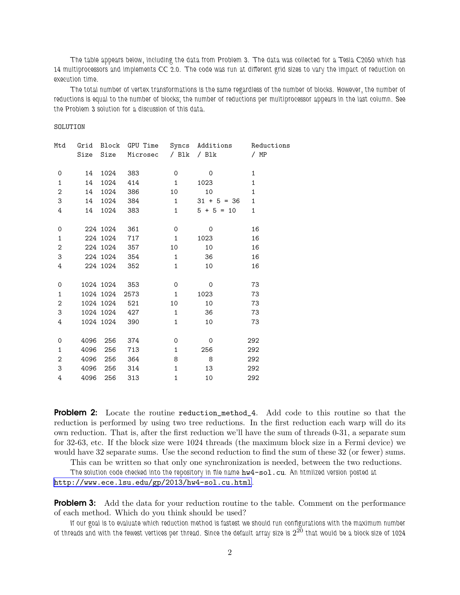*The table appears below, including the data from Problem 3. The data was collected for a Tesla C2050 which has 14 multiprocessors and implements CC 2.0. The code was run at different grid sizes to vary the impact of reduction on execution time.*

*The total number of vertex transformations is the same regardless of the number of blocks. However, the number of reductions is equal to the number of blocks; the number of reductions per multiprocessor appears in the last column. See the Problem 3 solution for a discussion of this data.*

SOLUTION

| Mtd            |      |               |          |              | Grid Block GPU Time Syncs Additions Reductions |              |
|----------------|------|---------------|----------|--------------|------------------------------------------------|--------------|
|                |      | Size Size     | Microsec |              | / Blk / Blk                                    | / MP         |
| 0              | 14   | 1024          | 383      | 0            | $\Omega$                                       | 1            |
| $\mathbf{1}$   | 14   | 1024          | 414      | 1            | 1023                                           | $\mathbf 1$  |
| $\overline{2}$ | 14   | 1024          | 386      | 10           | 10                                             | $\mathbf 1$  |
| 3              | 14   | 1024          | 384      | $1 \quad$    | $31 + 5 = 36$                                  | $\mathbf{1}$ |
| 4              | 14   | 1024          | 383      | 1            | $5 + 5 = 10$                                   | $\mathbf 1$  |
| 0              |      | 224 1024      | 361      | $\mathbf 0$  | 0                                              | 16           |
| $\mathbf{1}$   |      | 224 1024      | 717      | $\mathbf{1}$ | 1023                                           | 16           |
| $\mathbf{2}$   |      | 224 1024      | 357      | 10           | 10                                             | 16           |
| 3              |      | 224 1024      | 354      | $\mathbf{1}$ | 36                                             | 16           |
| 4              |      | 224 1024      | 352      | $\mathbf{1}$ | 10                                             | 16           |
| 0              |      | 1024 1024     | 353      | 0            | 0                                              | 73           |
| $\mathbf{1}$   |      | 1024 1024     | 2573     | $\mathbf{1}$ | 1023                                           | 73           |
| $\overline{2}$ |      | 1024 1024     | 521      | 10           | 10                                             | 73           |
| 3              |      | 1024 1024 427 |          | $\mathbf{1}$ | 36                                             | 73           |
| 4              |      | 1024 1024     | 390      | $\mathbf{1}$ | 10                                             | 73           |
| $\mathbf 0$    | 4096 | 256           | 374      | 0            | 0                                              | 292          |
| $\mathbf{1}$   | 4096 | 256           | 713      | $\mathbf{1}$ | 256                                            | 292          |
| $\overline{c}$ | 4096 | 256           | 364      | 8            | 8                                              | 292          |
| 3              | 4096 | 256           | 314      | $\mathbf{1}$ | 13                                             | 292          |
| 4              | 4096 | 256           | 313      | $\mathbf{1}$ | 10                                             | 292          |

Problem 2: Locate the routine reduction\_method\_4. Add code to this routine so that the reduction is performed by using two tree reductions. In the first reduction each warp will do its own reduction. That is, after the first reduction we'll have the sum of threads 0-31, a separate sum for 32-63, etc. If the block size were 1024 threads (the maximum block size in a Fermi device) we would have 32 separate sums. Use the second reduction to find the sum of these 32 (or fewer) sums.

This can be written so that only one synchronization is needed, between the two reductions.

*The solution code checked into the repository in file name* hw4-sol.cu*. An htmlized version posted at* <http://www.ece.lsu.edu/gp/2013/hw4-sol.cu.html>*.*

**Problem 3:** Add the data for your reduction routine to the table. Comment on the performance of each method. Which do you think should be used?

*If our goal is to evaluate which reduction method is fastest we should run configurations with the maximum number* of threads and with the fewest vertices per thread. Since the default array size is  $2^{20}$  that would be a block size of 1024